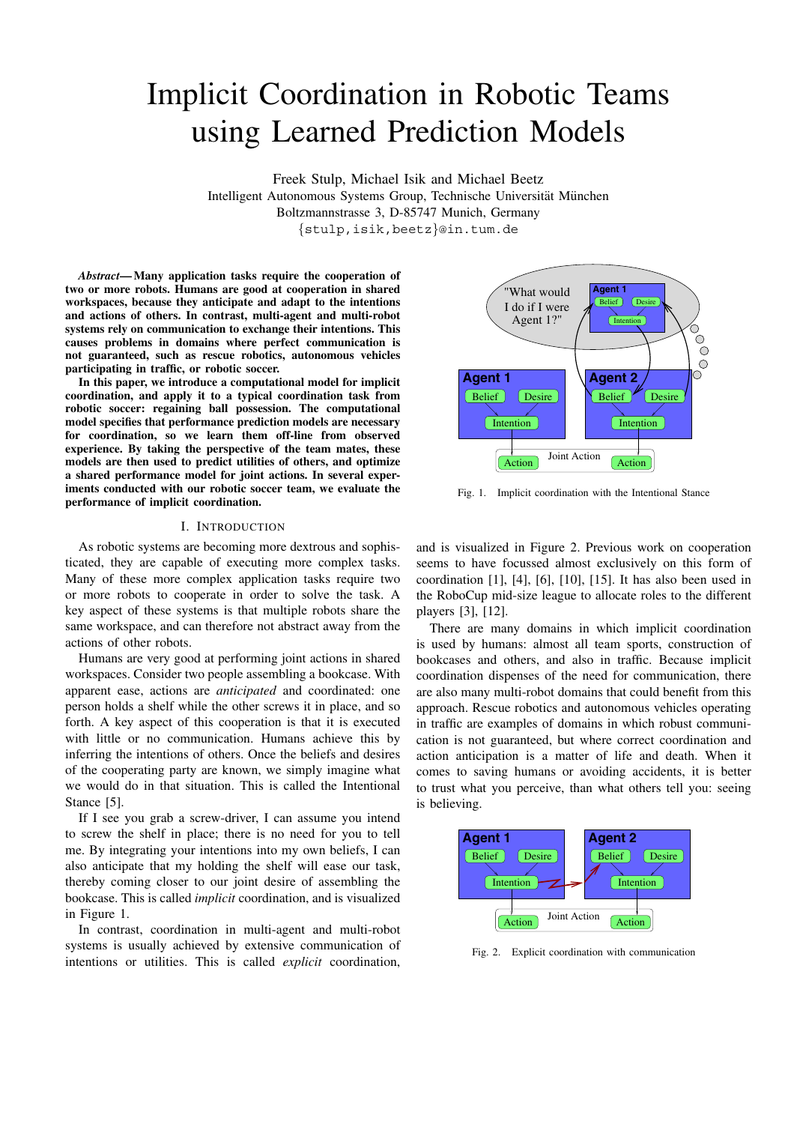# Implicit Coordination in Robotic Teams using Learned Prediction Models

Freek Stulp, Michael Isik and Michael Beetz Intelligent Autonomous Systems Group, Technische Universität München Boltzmannstrasse 3, D-85747 Munich, Germany *{*stulp,isik,beetz*}*@in.tum.de

*Abstract***— Many application tasks require the cooperation of two or more robots. Humans are good at cooperation in shared workspaces, because they anticipate and adapt to the intentions and actions of others. In contrast, multi-agent and multi-robot systems rely on communication to exchange their intentions. This causes problems in domains where perfect communication is not guaranteed, such as rescue robotics, autonomous vehicles participating in traffic, or robotic soccer.**

**In this paper, we introduce a computational model for implicit coordination, and apply it to a typical coordination task from robotic soccer: regaining ball possession. The computational model specifies that performance prediction models are necessary for coordination, so we learn them off-line from observed experience. By taking the perspective of the team mates, these models are then used to predict utilities of others, and optimize a shared performance model for joint actions. In several experiments conducted with our robotic soccer team, we evaluate the performance of implicit coordination.**

#### I. INTRODUCTION

As robotic systems are becoming more dextrous and sophisticated, they are capable of executing more complex tasks. Many of these more complex application tasks require two or more robots to cooperate in order to solve the task. A key aspect of these systems is that multiple robots share the same workspace, and can therefore not abstract away from the actions of other robots.

Humans are very good at performing joint actions in shared workspaces. Consider two people assembling a bookcase. With apparent ease, actions are *anticipated* and coordinated: one person holds a shelf while the other screws it in place, and so forth. A key aspect of this cooperation is that it is executed with little or no communication. Humans achieve this by inferring the intentions of others. Once the beliefs and desires of the cooperating party are known, we simply imagine what we would do in that situation. This is called the Intentional Stance [5].

If I see you grab a screw-driver, I can assume you intend to screw the shelf in place; there is no need for you to tell me. By integrating your intentions into my own beliefs, I can also anticipate that my holding the shelf will ease our task, thereby coming closer to our joint desire of assembling the bookcase. This is called *implicit* coordination, and is visualized in Figure 1.

In contrast, coordination in multi-agent and multi-robot systems is usually achieved by extensive communication of intentions or utilities. This is called *explicit* coordination,



Fig. 1. Implicit coordination with the Intentional Stance

and is visualized in Figure 2. Previous work on cooperation seems to have focussed almost exclusively on this form of coordination [1], [4], [6], [10], [15]. It has also been used in the RoboCup mid-size league to allocate roles to the different players [3], [12].

There are many domains in which implicit coordination is used by humans: almost all team sports, construction of bookcases and others, and also in traffic. Because implicit coordination dispenses of the need for communication, there are also many multi-robot domains that could benefit from this approach. Rescue robotics and autonomous vehicles operating in traffic are examples of domains in which robust communication is not guaranteed, but where correct coordination and action anticipation is a matter of life and death. When it comes to saving humans or avoiding accidents, it is better to trust what you perceive, than what others tell you: seeing is believing.



Fig. 2. Explicit coordination with communication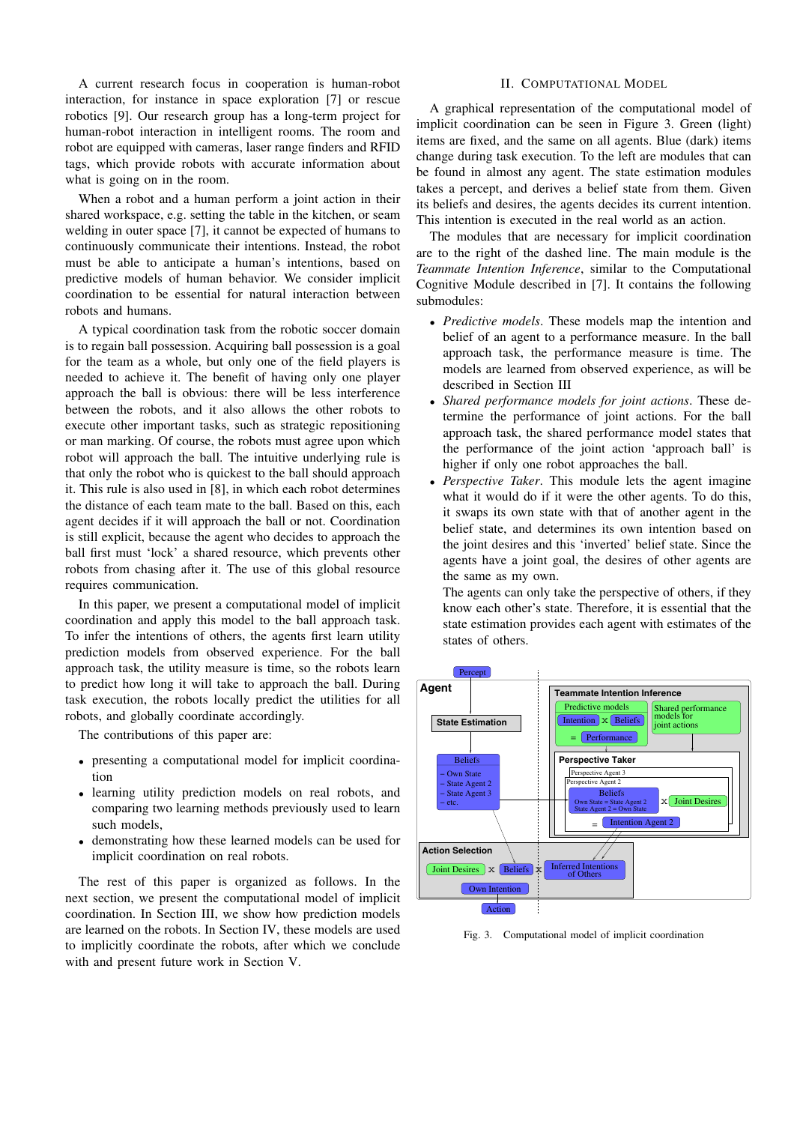A current research focus in cooperation is human-robot interaction, for instance in space exploration [7] or rescue robotics [9]. Our research group has a long-term project for human-robot interaction in intelligent rooms. The room and robot are equipped with cameras, laser range finders and RFID tags, which provide robots with accurate information about what is going on in the room.

When a robot and a human perform a joint action in their shared workspace, e.g. setting the table in the kitchen, or seam welding in outer space [7], it cannot be expected of humans to continuously communicate their intentions. Instead, the robot must be able to anticipate a human's intentions, based on predictive models of human behavior. We consider implicit coordination to be essential for natural interaction between robots and humans.

A typical coordination task from the robotic soccer domain is to regain ball possession. Acquiring ball possession is a goal for the team as a whole, but only one of the field players is needed to achieve it. The benefit of having only one player approach the ball is obvious: there will be less interference between the robots, and it also allows the other robots to execute other important tasks, such as strategic repositioning or man marking. Of course, the robots must agree upon which robot will approach the ball. The intuitive underlying rule is that only the robot who is quickest to the ball should approach it. This rule is also used in [8], in which each robot determines the distance of each team mate to the ball. Based on this, each agent decides if it will approach the ball or not. Coordination is still explicit, because the agent who decides to approach the ball first must 'lock' a shared resource, which prevents other robots from chasing after it. The use of this global resource requires communication.

In this paper, we present a computational model of implicit coordination and apply this model to the ball approach task. To infer the intentions of others, the agents first learn utility prediction models from observed experience. For the ball approach task, the utility measure is time, so the robots learn to predict how long it will take to approach the ball. During task execution, the robots locally predict the utilities for all robots, and globally coordinate accordingly.

The contributions of this paper are:

- *•* presenting a computational model for implicit coordination
- *•* learning utility prediction models on real robots, and comparing two learning methods previously used to learn such models,
- *•* demonstrating how these learned models can be used for implicit coordination on real robots.

The rest of this paper is organized as follows. In the next section, we present the computational model of implicit coordination. In Section III, we show how prediction models are learned on the robots. In Section IV, these models are used to implicitly coordinate the robots, after which we conclude with and present future work in Section V.

## II. COMPUTATIONAL MODEL

A graphical representation of the computational model of implicit coordination can be seen in Figure 3. Green (light) items are fixed, and the same on all agents. Blue (dark) items change during task execution. To the left are modules that can be found in almost any agent. The state estimation modules takes a percept, and derives a belief state from them. Given its beliefs and desires, the agents decides its current intention. This intention is executed in the real world as an action.

The modules that are necessary for implicit coordination are to the right of the dashed line. The main module is the *Teammate Intention Inference*, similar to the Computational Cognitive Module described in [7]. It contains the following submodules:

- *• Predictive models*. These models map the intention and belief of an agent to a performance measure. In the ball approach task, the performance measure is time. The models are learned from observed experience, as will be described in Section III
- *• Shared performance models for joint actions*. These determine the performance of joint actions. For the ball approach task, the shared performance model states that the performance of the joint action 'approach ball' is higher if only one robot approaches the ball.
- *• Perspective Taker*. This module lets the agent imagine what it would do if it were the other agents. To do this, it swaps its own state with that of another agent in the belief state, and determines its own intention based on the joint desires and this 'inverted' belief state. Since the agents have a joint goal, the desires of other agents are the same as my own.

The agents can only take the perspective of others, if they know each other's state. Therefore, it is essential that the state estimation provides each agent with estimates of the states of others.



Fig. 3. Computational model of implicit coordination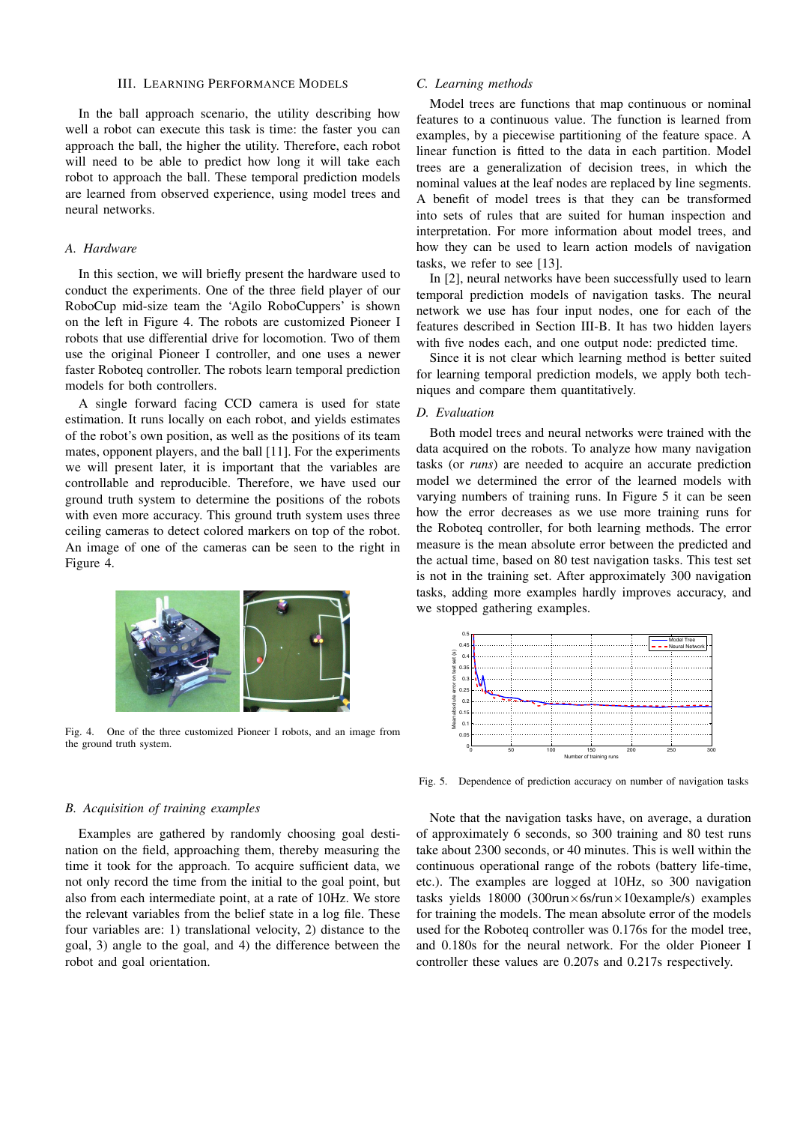## III. LEARNING PERFORMANCE MODELS

In the ball approach scenario, the utility describing how well a robot can execute this task is time: the faster you can approach the ball, the higher the utility. Therefore, each robot will need to be able to predict how long it will take each robot to approach the ball. These temporal prediction models are learned from observed experience, using model trees and neural networks.

## *A. Hardware*

In this section, we will briefly present the hardware used to conduct the experiments. One of the three field player of our RoboCup mid-size team the 'Agilo RoboCuppers' is shown on the left in Figure 4. The robots are customized Pioneer I robots that use differential drive for locomotion. Two of them use the original Pioneer I controller, and one uses a newer faster Roboteq controller. The robots learn temporal prediction models for both controllers.

A single forward facing CCD camera is used for state estimation. It runs locally on each robot, and yields estimates of the robot's own position, as well as the positions of its team mates, opponent players, and the ball [11]. For the experiments we will present later, it is important that the variables are controllable and reproducible. Therefore, we have used our ground truth system to determine the positions of the robots with even more accuracy. This ground truth system uses three ceiling cameras to detect colored markers on top of the robot. An image of one of the cameras can be seen to the right in Figure 4.



Fig. 4. One of the three customized Pioneer I robots, and an image from the ground truth system.

#### *B. Acquisition of training examples*

Examples are gathered by randomly choosing goal destination on the field, approaching them, thereby measuring the time it took for the approach. To acquire sufficient data, we not only record the time from the initial to the goal point, but also from each intermediate point, at a rate of 10Hz. We store the relevant variables from the belief state in a log file. These four variables are: 1) translational velocity, 2) distance to the goal, 3) angle to the goal, and 4) the difference between the robot and goal orientation.

## *C. Learning methods*

Model trees are functions that map continuous or nominal features to a continuous value. The function is learned from examples, by a piecewise partitioning of the feature space. A linear function is fitted to the data in each partition. Model trees are a generalization of decision trees, in which the nominal values at the leaf nodes are replaced by line segments. A benefit of model trees is that they can be transformed into sets of rules that are suited for human inspection and interpretation. For more information about model trees, and how they can be used to learn action models of navigation tasks, we refer to see [13].

In [2], neural networks have been successfully used to learn temporal prediction models of navigation tasks. The neural network we use has four input nodes, one for each of the features described in Section III-B. It has two hidden layers with five nodes each, and one output node: predicted time.

Since it is not clear which learning method is better suited for learning temporal prediction models, we apply both techniques and compare them quantitatively.

### *D. Evaluation*

Both model trees and neural networks were trained with the data acquired on the robots. To analyze how many navigation tasks (or *runs*) are needed to acquire an accurate prediction model we determined the error of the learned models with varying numbers of training runs. In Figure 5 it can be seen how the error decreases as we use more training runs for the Roboteq controller, for both learning methods. The error measure is the mean absolute error between the predicted and the actual time, based on 80 test navigation tasks. This test set is not in the training set. After approximately 300 navigation tasks, adding more examples hardly improves accuracy, and we stopped gathering examples.



Fig. 5. Dependence of prediction accuracy on number of navigation tasks

Note that the navigation tasks have, on average, a duration of approximately 6 seconds, so 300 training and 80 test runs take about 2300 seconds, or 40 minutes. This is well within the continuous operational range of the robots (battery life-time, etc.). The examples are logged at 10Hz, so 300 navigation tasks yields 18000 (300run*×*6s/run*×*10example/s) examples for training the models. The mean absolute error of the models used for the Roboteq controller was 0.176s for the model tree, and 0.180s for the neural network. For the older Pioneer I controller these values are 0.207s and 0.217s respectively.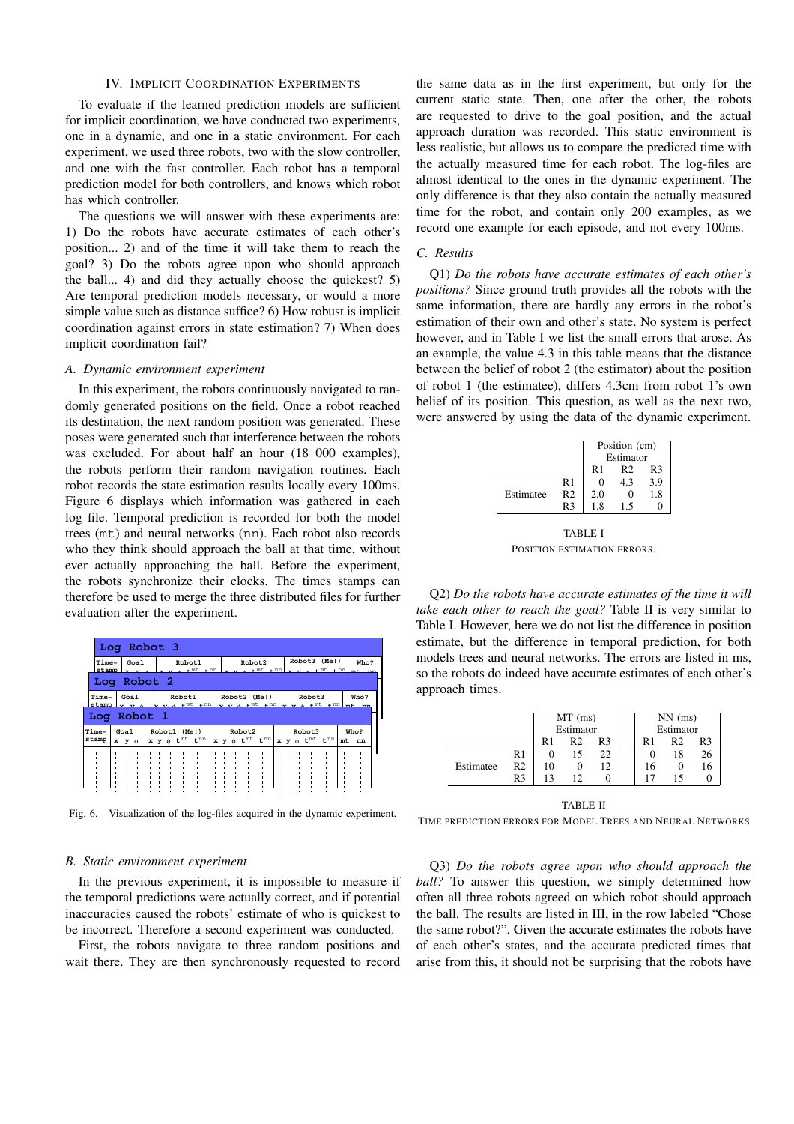# IV. IMPLICIT COORDINATION EXPERIMENTS

To evaluate if the learned prediction models are sufficient for implicit coordination, we have conducted two experiments, one in a dynamic, and one in a static environment. For each experiment, we used three robots, two with the slow controller, and one with the fast controller. Each robot has a temporal prediction model for both controllers, and knows which robot has which controller.

The questions we will answer with these experiments are: 1) Do the robots have accurate estimates of each other's position... 2) and of the time it will take them to reach the goal? 3) Do the robots agree upon who should approach the ball... 4) and did they actually choose the quickest? 5) Are temporal prediction models necessary, or would a more simple value such as distance suffice? 6) How robust is implicit coordination against errors in state estimation? 7) When does implicit coordination fail?

#### *A. Dynamic environment experiment*

In this experiment, the robots continuously navigated to randomly generated positions on the field. Once a robot reached its destination, the next random position was generated. These poses were generated such that interference between the robots was excluded. For about half an hour (18 000 examples), the robots perform their random navigation routines. Each robot records the state estimation results locally every 100ms. Figure 6 displays which information was gathered in each log file. Temporal prediction is recorded for both the model trees (mt) and neural networks (nn). Each robot also records who they think should approach the ball at that time, without ever actually approaching the ball. Before the experiment, the robots synchronize their clocks. The times stamps can therefore be used to merge the three distributed files for further evaluation after the experiment.

| Log Robot 3                                                                                                            |                        |              |  |                          |              |  |  |                           |        |  |  |                             |                                                   |  |  |      |      |    |    |  |
|------------------------------------------------------------------------------------------------------------------------|------------------------|--------------|--|--------------------------|--------------|--|--|---------------------------|--------|--|--|-----------------------------|---------------------------------------------------|--|--|------|------|----|----|--|
|                                                                                                                        | Time-<br>Goa1<br>stamp |              |  | Robot1<br>$-$ nn<br>⊥ mt |              |  |  | Robot2<br>$-$ nn<br>$-mt$ |        |  |  | Robot3 (Me!)<br>$-mt$ $-ml$ |                                                   |  |  | Who? |      |    |    |  |
| Log Robot 2                                                                                                            |                        |              |  |                          |              |  |  |                           |        |  |  |                             |                                                   |  |  |      |      |    |    |  |
| Time-<br>Robot1<br>Goa1<br>Robot2 (Me!)<br>Robot3<br>$-mt$ $-mn$<br>stamp<br>$-mt$ $\ldots$ nn<br>$m$ t<br>$\sqrt{nn}$ |                        |              |  |                          |              |  |  | Who?                      |        |  |  |                             |                                                   |  |  |      |      |    |    |  |
| Robot 1<br>Loα                                                                                                         |                        |              |  |                          |              |  |  |                           |        |  |  |                             |                                                   |  |  |      |      |    |    |  |
| Time-                                                                                                                  | Goal                   |              |  |                          | Robot1 (Me!) |  |  |                           | Robot2 |  |  |                             | Robot3                                            |  |  |      | Who? |    |    |  |
| stamp                                                                                                                  |                        | $x \ y \phi$ |  |                          |              |  |  | $x y \phi t^{mt} t^{nm}$  |        |  |  |                             | $x y \phi t^{mt} t^{nm}$ $x y \phi t^{mt} t^{nm}$ |  |  |      |      | mt | nn |  |
|                                                                                                                        |                        |              |  |                          |              |  |  |                           |        |  |  |                             |                                                   |  |  |      |      |    |    |  |

Fig. 6. Visualization of the log-files acquired in the dynamic experiment.

## *B. Static environment experiment*

In the previous experiment, it is impossible to measure if the temporal predictions were actually correct, and if potential inaccuracies caused the robots' estimate of who is quickest to be incorrect. Therefore a second experiment was conducted.

First, the robots navigate to three random positions and wait there. They are then synchronously requested to record

the same data as in the first experiment, but only for the current static state. Then, one after the other, the robots are requested to drive to the goal position, and the actual approach duration was recorded. This static environment is less realistic, but allows us to compare the predicted time with the actually measured time for each robot. The log-files are almost identical to the ones in the dynamic experiment. The only difference is that they also contain the actually measured time for the robot, and contain only 200 examples, as we record one example for each episode, and not every 100ms.

## *C. Results*

Q1) *Do the robots have accurate estimates of each other's positions?* Since ground truth provides all the robots with the same information, there are hardly any errors in the robot's estimation of their own and other's state. No system is perfect however, and in Table I we list the small errors that arose. As an example, the value 4.3 in this table means that the distance between the belief of robot 2 (the estimator) about the position of robot 1 (the estimatee), differs 4.3cm from robot 1's own belief of its position. This question, as well as the next two, were answered by using the data of the dynamic experiment.

|           |                | Position (cm)<br>Estimator |     |     |  |  |  |  |  |
|-----------|----------------|----------------------------|-----|-----|--|--|--|--|--|
|           |                | R1<br>R <sub>2</sub><br>R٩ |     |     |  |  |  |  |  |
|           | R <sub>1</sub> |                            | 4.3 | 3.9 |  |  |  |  |  |
| Estimatee | R <sub>2</sub> | 2.0                        |     | 1.8 |  |  |  |  |  |
|           | R <sub>3</sub> | 1.8                        | 15  |     |  |  |  |  |  |
| TABLE I   |                |                            |     |     |  |  |  |  |  |

POSITION ESTIMATION ERRORS.

Q2) *Do the robots have accurate estimates of the time it will take each other to reach the goal?* Table II is very similar to Table I. However, here we do not list the difference in position estimate, but the difference in temporal prediction, for both models trees and neural networks. The errors are listed in ms, so the robots do indeed have accurate estimates of each other's approach times.

|           |                |    | $MT$ (ms)      |    |    | $NN$ (ms) |    |
|-----------|----------------|----|----------------|----|----|-----------|----|
|           |                |    | Estimator      |    |    | Estimator |    |
|           |                | R1 | R <sub>2</sub> | R3 | R1 | R٦        | R٩ |
|           | R1             |    | 15             | 22 | 0  | 18        |    |
| Estimatee | R2             | 10 |                | 12 | 16 |           |    |
|           | R <sub>3</sub> | 13 | 12             |    |    |           |    |
|           |                |    |                |    |    |           |    |

TABLE II

TIME PREDICTION ERRORS FOR MODEL TREES AND NEURAL NETWORKS

Q3) *Do the robots agree upon who should approach the ball?* To answer this question, we simply determined how often all three robots agreed on which robot should approach the ball. The results are listed in III, in the row labeled "Chose the same robot?". Given the accurate estimates the robots have of each other's states, and the accurate predicted times that arise from this, it should not be surprising that the robots have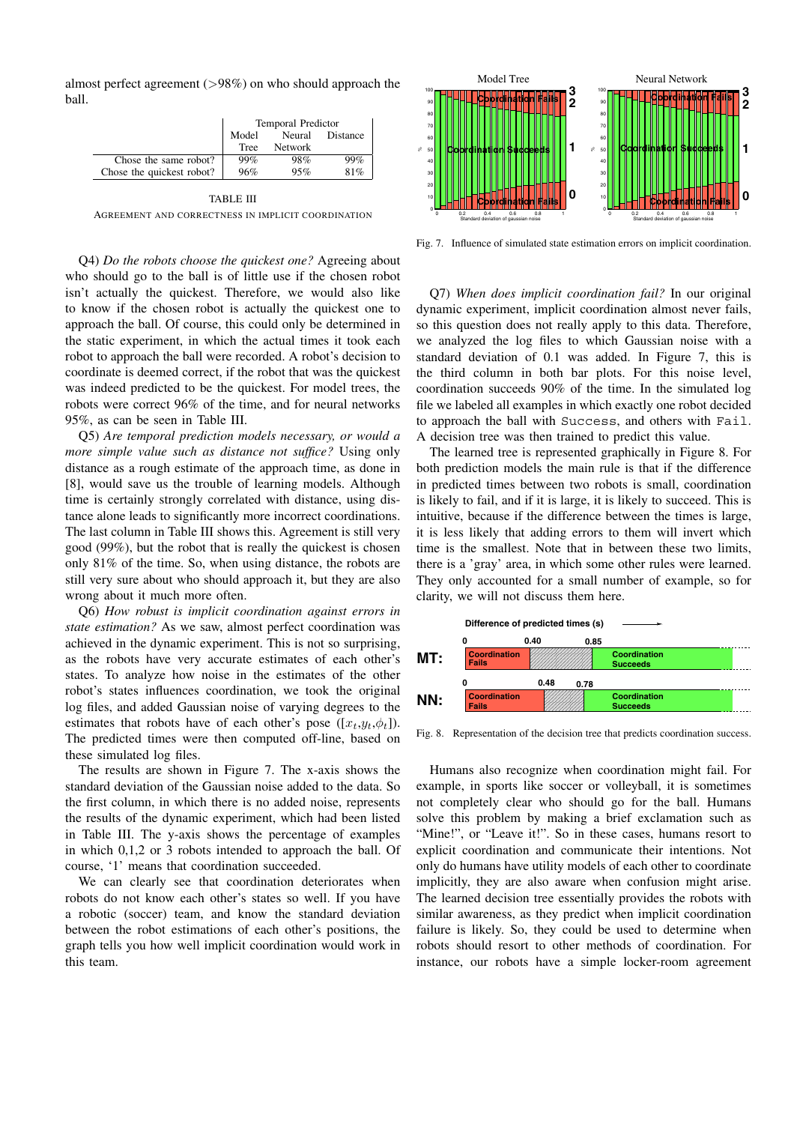almost perfect agreement (>98%) on who should approach the ball.

|                           | <b>Temporal Predictor</b> |                |          |  |  |  |  |
|---------------------------|---------------------------|----------------|----------|--|--|--|--|
|                           | Model                     | Neural         | Distance |  |  |  |  |
|                           | Tree                      | <b>Network</b> |          |  |  |  |  |
| Chose the same robot?     | 99%                       | 98%            | 99%      |  |  |  |  |
| Chose the quickest robot? | 96%                       | 95%            | 81%      |  |  |  |  |

TABLE III AGREEMENT AND CORRECTNESS IN IMPLICIT COORDINATION

Q4) *Do the robots choose the quickest one?* Agreeing about who should go to the ball is of little use if the chosen robot isn't actually the quickest. Therefore, we would also like to know if the chosen robot is actually the quickest one to approach the ball. Of course, this could only be determined in the static experiment, in which the actual times it took each robot to approach the ball were recorded. A robot's decision to coordinate is deemed correct, if the robot that was the quickest was indeed predicted to be the quickest. For model trees, the robots were correct 96% of the time, and for neural networks 95%, as can be seen in Table III.

Q5) *Are temporal prediction models necessary, or would a more simple value such as distance not suffice?* Using only distance as a rough estimate of the approach time, as done in [8], would save us the trouble of learning models. Although time is certainly strongly correlated with distance, using distance alone leads to significantly more incorrect coordinations. The last column in Table III shows this. Agreement is still very good (99%), but the robot that is really the quickest is chosen only 81% of the time. So, when using distance, the robots are still very sure about who should approach it, but they are also wrong about it much more often.

Q6) *How robust is implicit coordination against errors in state estimation?* As we saw, almost perfect coordination was achieved in the dynamic experiment. This is not so surprising, as the robots have very accurate estimates of each other's states. To analyze how noise in the estimates of the other robot's states influences coordination, we took the original log files, and added Gaussian noise of varying degrees to the estimates that robots have of each other's pose  $([x_t,y_t,\phi_t])$ . The predicted times were then computed off-line, based on these simulated log files.

The results are shown in Figure 7. The x-axis shows the standard deviation of the Gaussian noise added to the data. So the first column, in which there is no added noise, represents the results of the dynamic experiment, which had been listed in Table III. The y-axis shows the percentage of examples in which 0,1,2 or 3 robots intended to approach the ball. Of course, '1' means that coordination succeeded.

We can clearly see that coordination deteriorates when robots do not know each other's states so well. If you have a robotic (soccer) team, and know the standard deviation between the robot estimations of each other's positions, the graph tells you how well implicit coordination would work in this team.



Fig. 7. Influence of simulated state estimation errors on implicit coordination.

Q7) *When does implicit coordination fail?* In our original dynamic experiment, implicit coordination almost never fails, so this question does not really apply to this data. Therefore, we analyzed the log files to which Gaussian noise with a standard deviation of 0.1 was added. In Figure 7, this is the third column in both bar plots. For this noise level, coordination succeeds 90% of the time. In the simulated log file we labeled all examples in which exactly one robot decided to approach the ball with Success, and others with Fail. A decision tree was then trained to predict this value.

The learned tree is represented graphically in Figure 8. For both prediction models the main rule is that if the difference in predicted times between two robots is small, coordination is likely to fail, and if it is large, it is likely to succeed. This is intuitive, because if the difference between the times is large, it is less likely that adding errors to them will invert which time is the smallest. Note that in between these two limits, there is a 'gray' area, in which some other rules were learned. They only accounted for a small number of example, so for clarity, we will not discuss them here.



Fig. 8. Representation of the decision tree that predicts coordination success.

Humans also recognize when coordination might fail. For example, in sports like soccer or volleyball, it is sometimes not completely clear who should go for the ball. Humans solve this problem by making a brief exclamation such as "Mine!", or "Leave it!". So in these cases, humans resort to explicit coordination and communicate their intentions. Not only do humans have utility models of each other to coordinate implicitly, they are also aware when confusion might arise. The learned decision tree essentially provides the robots with similar awareness, as they predict when implicit coordination failure is likely. So, they could be used to determine when robots should resort to other methods of coordination. For instance, our robots have a simple locker-room agreement